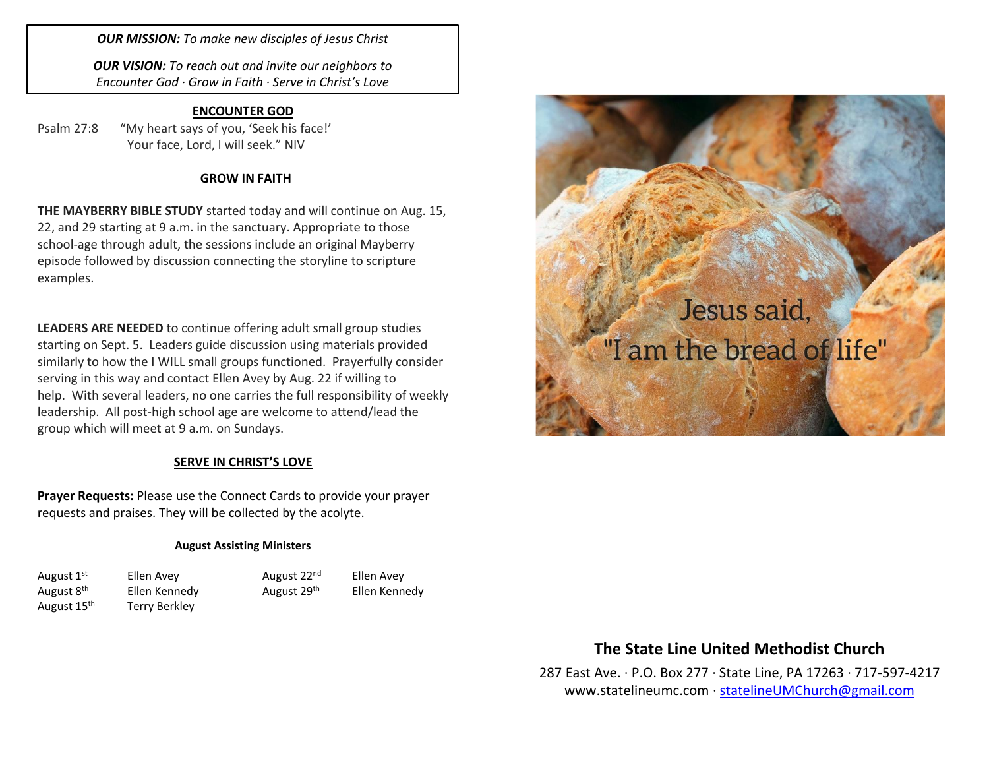*OUR MISSION: To make new disciples of Jesus Christ*

*OUR VISION: To reach out and invite our neighbors to Encounter God · Grow in Faith · Serve in Christ's Love*

#### **ENCOUNTER GOD**

Psalm 27:8 "My heart says of you, 'Seek his face!' Your face, Lord, I will seek." NIV

### **GROW IN FAITH**

**THE MAYBERRY BIBLE STUDY** started today and will continue on Aug. 15, 22, and 29 starting at 9 a.m. in the sanctuary. Appropriate to those school-age through adult, the sessions include an original Mayberry episode followed by discussion connecting the storyline to scripture examples.

**LEADERS ARE NEEDED** to continue offering adult small group studies starting on Sept. 5. Leaders guide discussion using materials provided similarly to how the I WILL small groups functioned. Prayerfully consider serving in this way and contact Ellen Avey by Aug. 22 if willing to help. With several leaders, no one carries the full responsibility of weekly leadership. All post-high school age are welcome to attend/lead the group which will meet at 9 a.m. on Sundays.

#### **SERVE IN CHRIST'S LOVE**

**Prayer Requests:** Please use the Connect Cards to provide your prayer requests and praises. They will be collected by the acolyte.

#### **August Assisting Ministers**

August 15<sup>th</sup> Terry Berkley

August  $1^{st}$  Ellen Avey  $\overline{a}$  Ellen Avey  $\overline{a}$  Ellen Avey August 8<sup>th</sup> Ellen Kennedy **August 29<sup>th</sup> Ellen Kennedy** 



# **The State Line United Methodist Church**

287 East Ave. · P.O. Box 277 · State Line, PA 17263 · 717-597-4217 [www.statelineumc.com](http://www.statelineumc.com/) · [statelineUMChurch@gmail.com](mailto:statelineUMChurch@gmail.com)